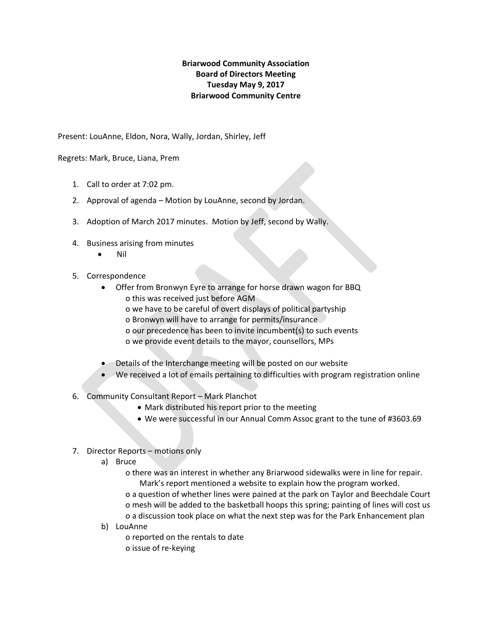## **Briarwood Community Association Board of Directors Meeting Tuesday May 9, 2017 Briarwood Community Centre**

Present: LouAnne, Eldon, Nora, Wally, Jordan, Shirley, Jeff

Regrets: Mark, Bruce, Liana, Prem

- 1. Call to order at 7:02 pm.
- 2. Approval of agenda Motion by LouAnne, second by Jordan.
- 3. Adoption of March 2017 minutes. Motion by Jeff, second by Wally.
- 4. Business arising from minutes
	- Nil
- 5. Correspondence
	- Offer from Bronwyn Eyre to arrange for horse drawn wagon for BBQ o this was received just before AGM
		- o we have to be careful of overt displays of political partyship
		- o Bronwyn will have to arrange for permits/insurance
		- o our precedence has been to invite incumbent(s) to such events
		- o we provide event details to the mayor, counsellors, MPs
	- Details of the Interchange meeting will be posted on our website
	- We received a lot of emails pertaining to difficulties with program registration online
- 6. Community Consultant Report Mark Planchot
	- Mark distributed his report prior to the meeting
	- We were successful in our Annual Comm Assoc grant to the tune of #3603.69
- 7. Director Reports motions only
	- a) Bruce

 o there was an interest in whether any Briarwood sidewalks were in line for repair. Mark's report mentioned a website to explain how the program worked. o a question of whether lines were pained at the park on Taylor and Beechdale Court o mesh will be added to the basketball hoops this spring; painting of lines will cost us o a discussion took place on what the next step was for the Park Enhancement plan

b) LouAnne

o reported on the rentals to date

o issue of re-keying